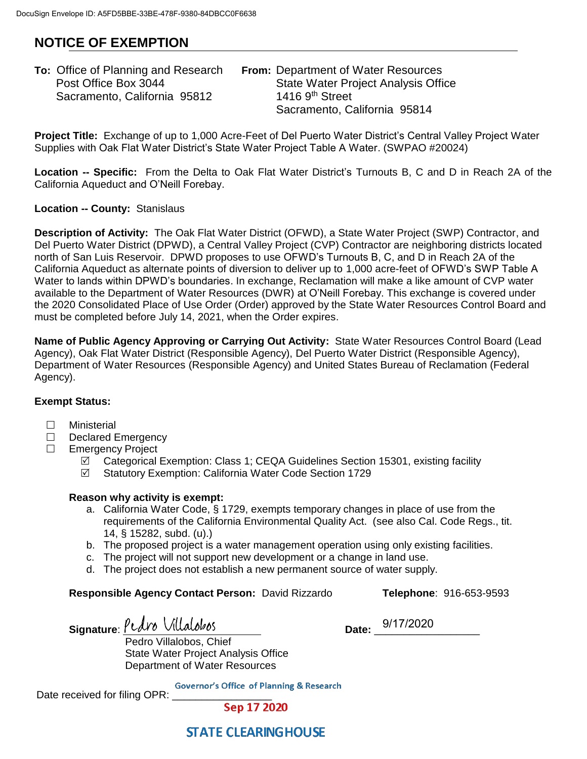# **NOTICE OF EXEMPTION**

| <b>To:</b> Office of Planning and Research | <b>From: Department of Water Resources</b> |  |
|--------------------------------------------|--------------------------------------------|--|
| Post Office Box 3044                       | <b>State Water Project Analysis Office</b> |  |
| Sacramento, California 95812               | 1416 $9th$ Street                          |  |
|                                            | Sacramento, California 95814               |  |

**Project Title:** Exchange of up to 1,000 Acre-Feet of Del Puerto Water District's Central Valley Project Water Supplies with Oak Flat Water District's State Water Project Table A Water. (SWPAO #20024)

**Location -- Specific:** From the Delta to Oak Flat Water District's Turnouts B, C and D in Reach 2A of the California Aqueduct and O'Neill Forebay.

### **Location -- County:** Stanislaus

**Description of Activity:** The Oak Flat Water District (OFWD), a State Water Project (SWP) Contractor, and Del Puerto Water District (DPWD), a Central Valley Project (CVP) Contractor are neighboring districts located north of San Luis Reservoir. DPWD proposes to use OFWD's Turnouts B, C, and D in Reach 2A of the California Aqueduct as alternate points of diversion to deliver up to 1,000 acre-feet of OFWD's SWP Table A Water to lands within DPWD's boundaries. In exchange, Reclamation will make a like amount of CVP water available to the Department of Water Resources (DWR) at O'Neill Forebay. This exchange is covered under the 2020 Consolidated Place of Use Order (Order) approved by the State Water Resources Control Board and must be completed before July 14, 2021, when the Order expires.

**Name of Public Agency Approving or Carrying Out Activity:** State Water Resources Control Board (Lead Agency), Oak Flat Water District (Responsible Agency), Del Puerto Water District (Responsible Agency), Department of Water Resources (Responsible Agency) and United States Bureau of Reclamation (Federal Agency).

### **Exempt Status:**

- □ Ministerial
- $\Box$  Declared Emergency
- □ Emergency Project
	- $\boxtimes$  Categorical Exemption: Class 1; CEQA Guidelines Section 15301, existing facility
	- Statutory Exemption: California Water Code Section 1729

### **Reason why activity is exempt:**

- a. California Water Code, § 1729, exempts temporary changes in place of use from the requirements of the California Environmental Quality Act. (see also Cal. Code Regs., tit. 14, § 15282, subd. (u).)
- b. The proposed project is a water management operation using only existing facilities.
- c. The project will not support new development or a change in land use.
- d. The project does not establish a new permanent source of water supply.

#### **Responsible Agency Contact Person:** David Rizzardo **Telephone**: 916-653-9593

 $Signature: Pedro$  *Villalobos* 

Date: 9/17/2020

Pedro Villalobos, Chief State Water Project Analysis Office Department of Water Resources

**Governor's Office of Planning & Research** 

Date received for filing OPR:

Sep 17 2020

## **STATE CLEARING HOUSE**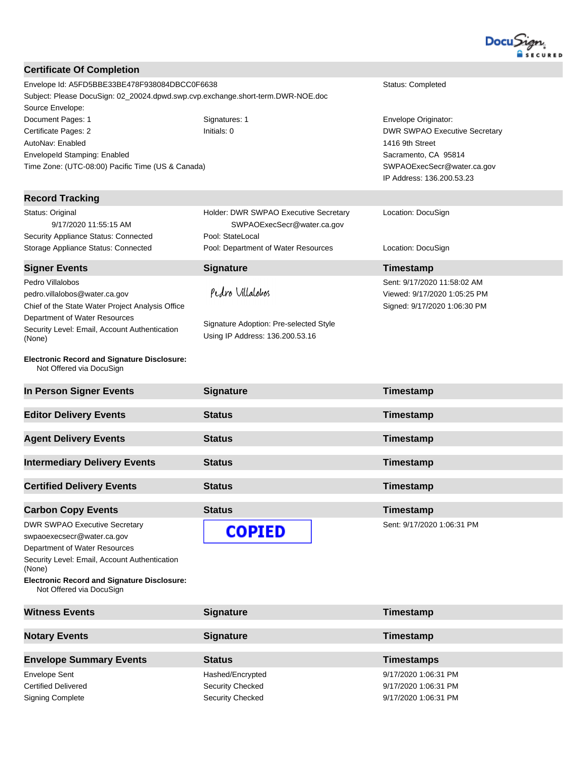

| <b>Certificate Of Completion</b>                                                         |                                        |                                              |  |
|------------------------------------------------------------------------------------------|----------------------------------------|----------------------------------------------|--|
| Envelope Id: A5FD5BBE33BE478F938084DBCC0F6638<br>Status: Completed                       |                                        |                                              |  |
| Subject: Please DocuSign: 02_20024.dpwd.swp.cvp.exchange.short-term.DWR-NOE.doc          |                                        |                                              |  |
| Source Envelope:                                                                         |                                        |                                              |  |
| Document Pages: 1                                                                        | Signatures: 1                          | Envelope Originator:                         |  |
| Certificate Pages: 2                                                                     | Initials: 0                            | <b>DWR SWPAO Executive Secretary</b>         |  |
| AutoNav: Enabled                                                                         |                                        | 1416 9th Street                              |  |
| EnvelopeId Stamping: Enabled                                                             |                                        | Sacramento, CA 95814                         |  |
| Time Zone: (UTC-08:00) Pacific Time (US & Canada)                                        |                                        | SWPAOExecSecr@water.ca.gov                   |  |
|                                                                                          |                                        | IP Address: 136.200.53.23                    |  |
| <b>Record Tracking</b>                                                                   |                                        |                                              |  |
| Status: Original                                                                         | Holder: DWR SWPAO Executive Secretary  |                                              |  |
| 9/17/2020 11:55:15 AM                                                                    | SWPAOExecSecr@water.ca.gov             | Location: DocuSign                           |  |
| Security Appliance Status: Connected                                                     | Pool: StateLocal                       |                                              |  |
| Storage Appliance Status: Connected                                                      | Pool: Department of Water Resources    | Location: DocuSign                           |  |
|                                                                                          |                                        |                                              |  |
| <b>Signer Events</b>                                                                     | <b>Signature</b>                       | Timestamp                                    |  |
| Pedro Villalobos                                                                         |                                        | Sent: 9/17/2020 11:58:02 AM                  |  |
| pedro.villalobos@water.ca.gov                                                            | Pedro Villalobos                       | Viewed: 9/17/2020 1:05:25 PM                 |  |
| Chief of the State Water Project Analysis Office                                         |                                        | Signed: 9/17/2020 1:06:30 PM                 |  |
| Department of Water Resources                                                            | Signature Adoption: Pre-selected Style |                                              |  |
| Security Level: Email, Account Authentication<br>(None)                                  | Using IP Address: 136.200.53.16        |                                              |  |
|                                                                                          |                                        |                                              |  |
| <b>Electronic Record and Signature Disclosure:</b><br>Not Offered via DocuSign           |                                        |                                              |  |
|                                                                                          |                                        |                                              |  |
| In Person Signer Events                                                                  | <b>Signature</b>                       | Timestamp                                    |  |
| <b>Editor Delivery Events</b>                                                            | <b>Status</b>                          | Timestamp                                    |  |
| <b>Agent Delivery Events</b>                                                             | <b>Status</b>                          | Timestamp                                    |  |
| <b>Intermediary Delivery Events</b>                                                      | <b>Status</b>                          | Timestamp                                    |  |
|                                                                                          |                                        |                                              |  |
| <b>Certified Delivery Events</b>                                                         | <b>Status</b>                          | Timestamp                                    |  |
|                                                                                          | <b>Status</b>                          |                                              |  |
| <b>Carbon Copy Events</b>                                                                |                                        | Timestamp                                    |  |
| <b>DWR SWPAO Executive Secretary</b>                                                     | <b>COPIED</b>                          | Sent: 9/17/2020 1:06:31 PM                   |  |
| swpaoexecsecr@water.ca.gov                                                               |                                        |                                              |  |
| Department of Water Resources<br>Security Level: Email, Account Authentication<br>(None) |                                        |                                              |  |
| <b>Electronic Record and Signature Disclosure:</b><br>Not Offered via DocuSign           |                                        |                                              |  |
|                                                                                          |                                        |                                              |  |
| <b>Witness Events</b>                                                                    | <b>Signature</b>                       | Timestamp                                    |  |
| <b>Notary Events</b>                                                                     | <b>Signature</b>                       | Timestamp                                    |  |
|                                                                                          |                                        |                                              |  |
| <b>Envelope Summary Events</b>                                                           | <b>Status</b>                          | <b>Timestamps</b>                            |  |
| <b>Envelope Sent</b><br><b>Certified Delivered</b>                                       | Hashed/Encrypted<br>Security Checked   | 9/17/2020 1:06:31 PM<br>9/17/2020 1:06:31 PM |  |

Certified Delivered Security Checked 9/17/2020 1:06:31 PM Signing Complete Signing Complete Security Checked Security Checked 9/17/2020 1:06:31 PM